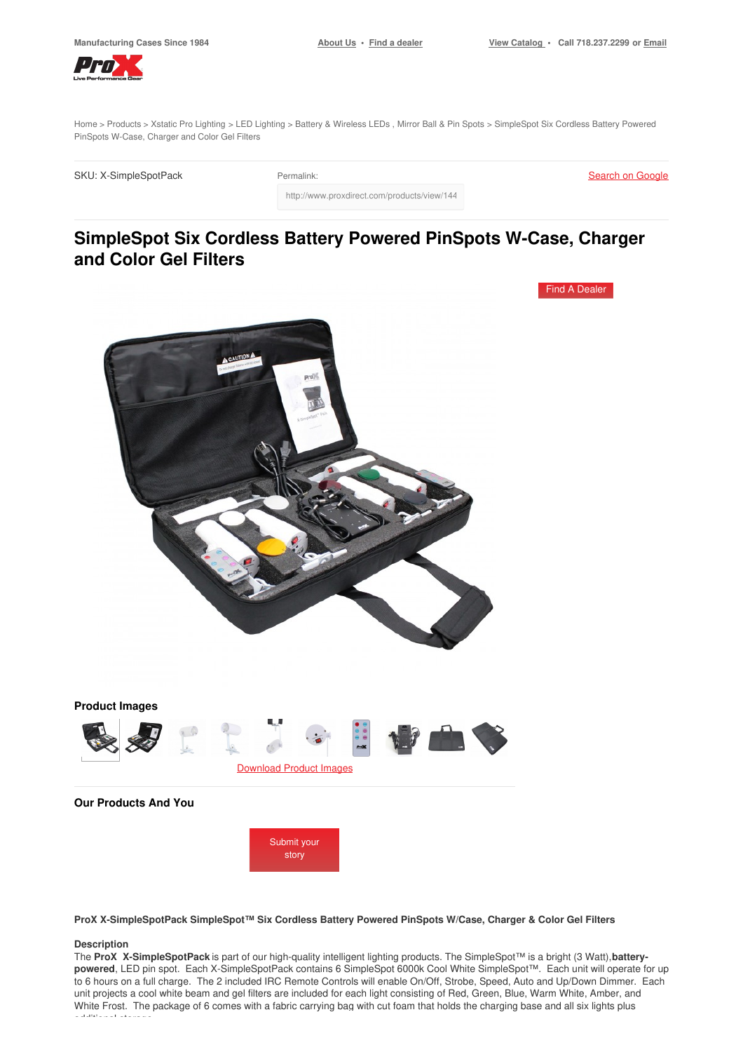[Home](https://www.proxdirect.com/) > [Products](https://www.proxdirect.com/products/) > Xstatic Pro [Lighting](https://www.proxdirect.com/products/browse/category/Xstatic-Pro-Lighting) > LED [Lighting](https://www.proxdirect.com/products/browse/category/LED-Lighting) > Battery & [Wireless](https://www.proxdirect.com/products/browse/category/Battery-Wireless-LEDs) LEDs , [Mirror](https://www.proxdirect.com/products/browse/category/Mirror-Ball-Pin-Spots) Ball & Pin Spots > SimpleSpot Six Cordless Battery Powered PinSpots W-Case, Charger and Color Gel Filters

http://www.proxdirect.com/products/view/1446

SKU: X-SimpleSpotPack Permalink:

Search on [Google](https://www.google.com/search?q=X-SimpleSpotPack)

# **SimpleSpot Six Cordless Battery Powered PinSpots W-Case, Charger and Color Gel Filters**



**ProX X-SimpleSpotPack SimpleSpot™ Six Cordless Battery Powered PinSpots W/Case, Charger & Color Gel Filters**

#### **Description**

The **ProX X-SimpleSpotPack** is part of our high-quality intelligent lighting products. The SimpleSpot™ is a bright (3 Watt),**batterypowered**, LED pin spot. Each X-SimpleSpotPack contains 6 SimpleSpot 6000k Cool White SimpleSpot™. Each unit will operate for up to 6 hours on a full charge. The 2 included IRC Remote Controls will enable On/Off, Strobe, Speed, Auto and Up/Down Dimmer. Each unit projects a cool white beam and gel filters are included for each light consisting of Red, Green, Blue, Warm White, Amber, and White Frost. The package of 6 comes with a fabric carrying bag with cut foam that holds the charging base and all six lights plus additional storage.